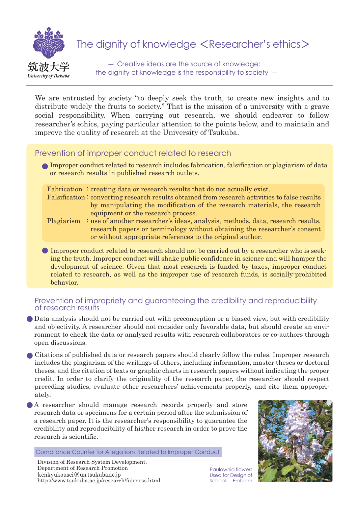

# The dignity of knowledge <Researcher's ethics>

 ― Creative ideas are the source of knowledge; the dignity of knowledge is the responsibility to society ―

We are entrusted by society "to deeply seek the truth, to create new insights and to distribute widely the fruits to society." That is the mission of a university with a grave social responsibility. When carrying out research, we should endeavor to follow researcher's ethics, paying particular attention to the points below, and to maintain and improve the quality of research at the University of Tsukuba.

## Prevention of improper conduct related to research

Improper conduct related to research includes fabrication, falsification or plagiarism of data or research results in published research outlets.

Fabrication : creating data or research results that do not actually exist. Falsification: converting research results obtained from research activities to false results by manipulating the modification of the research materials, the research equipment or the research process.

- Plagiarism : use of another researcher's ideas, analysis, methods, data, research results, research papers or terminology without obtaining the researcher's consent or without appropriate references to the original author.
- Improper conduct related to research should not be carried out by a researcher who is seeking the truth. Improper conduct will shake public confidence in science and will hamper the development of science. Given that most research is funded by taxes, improper conduct related to research, as well as the improper use of research funds, is socially-prohibited behavior.

## Prevention of impropriety and guaranteeing the credibility and reproducibility of research results

- Data analysis should not be carried out with preconception or a biased view, but with credibility and objectivity. A researcher should not consider only favorable data, but should create an environment to check the data or analyzed results with research collaborators or co-authors through open discussions.
- Citations of published data or research papers should clearly follow the rules. Improper research includes the plagiarism of the writings of others, including information, master theses or doctoral theses, and the citation of texts or graphic charts in research papers without indicating the proper credit. In order to clarify the originality of the research paper, the researcher should respect preceding studies, evaluate other researchers' achievements properly, and cite them appropriately.
- A researcher should manage research records properly and store research data or specimens for a certain period after the submission of a research paper. It is the researcher's responsibility to guarantee the credibility and reproducibility of his/her research in order to prove the research is scientific.

Compliance Counter for Allegations Related to Improper Conduct



Paulownia flowers Used for Design of School Emblem